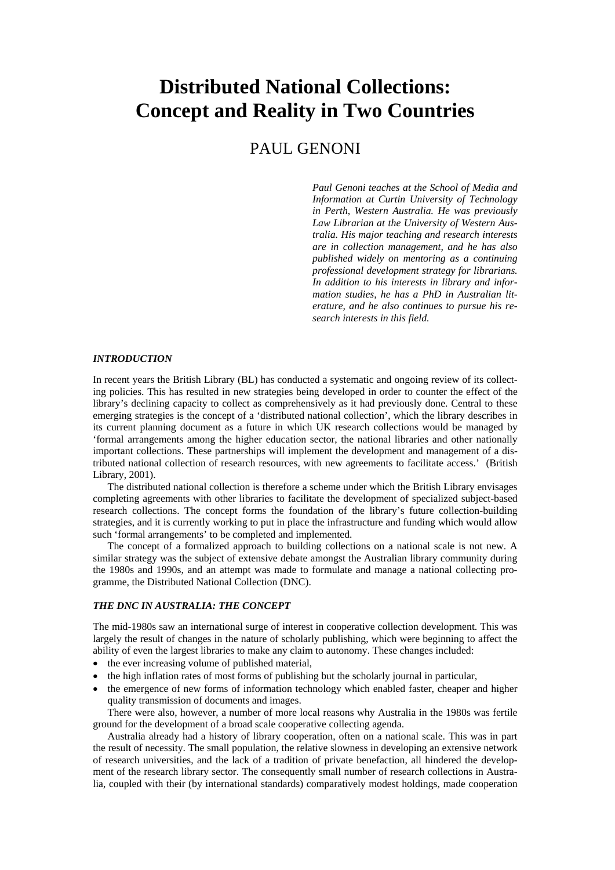# **Distributed National Collections: Concept and Reality in Two Countries**

# PAUL GENONI

*Paul Genoni teaches at the School of Media and Information at Curtin University of Technology in Perth, Western Australia. He was previously Law Librarian at the University of Western Australia. His major teaching and research interests are in collection management, and he has also published widely on mentoring as a continuing professional development strategy for librarians. In addition to his interests in library and information studies, he has a PhD in Australian literature, and he also continues to pursue his research interests in this field.* 

# *INTRODUCTION*

In recent years the British Library (BL) has conducted a systematic and ongoing review of its collecting policies. This has resulted in new strategies being developed in order to counter the effect of the library's declining capacity to collect as comprehensively as it had previously done. Central to these emerging strategies is the concept of a 'distributed national collection', which the library describes in its current planning document as a future in which UK research collections would be managed by 'formal arrangements among the higher education sector, the national libraries and other nationally important collections. These partnerships will implement the development and management of a distributed national collection of research resources, with new agreements to facilitate access.' (British Library, 2001).

The distributed national collection is therefore a scheme under which the British Library envisages completing agreements with other libraries to facilitate the development of specialized subject-based research collections. The concept forms the foundation of the library's future collection-building strategies, and it is currently working to put in place the infrastructure and funding which would allow such 'formal arrangements' to be completed and implemented.

The concept of a formalized approach to building collections on a national scale is not new. A similar strategy was the subject of extensive debate amongst the Australian library community during the 1980s and 1990s, and an attempt was made to formulate and manage a national collecting programme, the Distributed National Collection (DNC).

# *THE DNC IN AUSTRALIA: THE CONCEPT*

The mid-1980s saw an international surge of interest in cooperative collection development. This was largely the result of changes in the nature of scholarly publishing, which were beginning to affect the ability of even the largest libraries to make any claim to autonomy. These changes included:

- the ever increasing volume of published material,
- the high inflation rates of most forms of publishing but the scholarly journal in particular,
- the emergence of new forms of information technology which enabled faster, cheaper and higher quality transmission of documents and images.

There were also, however, a number of more local reasons why Australia in the 1980s was fertile ground for the development of a broad scale cooperative collecting agenda.

Australia already had a history of library cooperation, often on a national scale. This was in part the result of necessity. The small population, the relative slowness in developing an extensive network of research universities, and the lack of a tradition of private benefaction, all hindered the development of the research library sector. The consequently small number of research collections in Australia, coupled with their (by international standards) comparatively modest holdings, made cooperation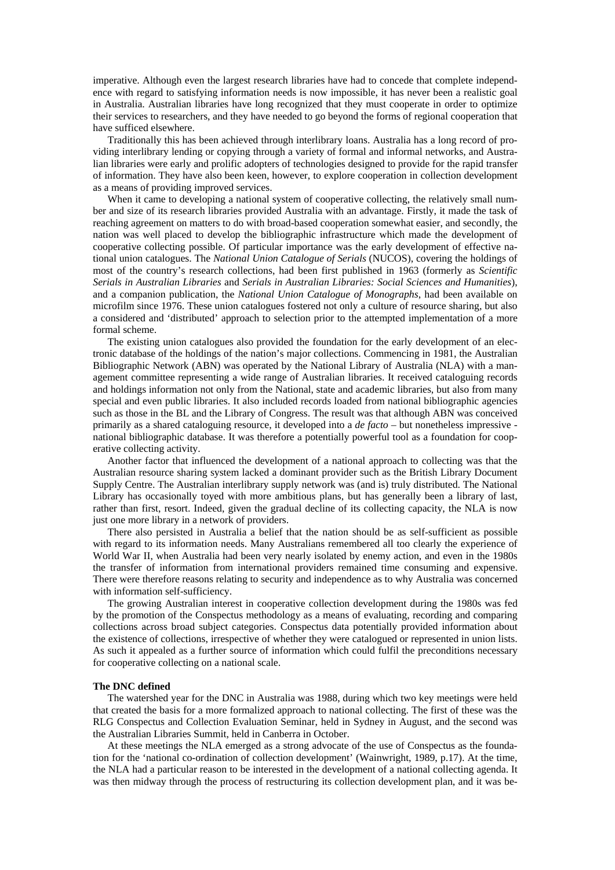imperative. Although even the largest research libraries have had to concede that complete independence with regard to satisfying information needs is now impossible, it has never been a realistic goal in Australia. Australian libraries have long recognized that they must cooperate in order to optimize their services to researchers, and they have needed to go beyond the forms of regional cooperation that have sufficed elsewhere.

Traditionally this has been achieved through interlibrary loans. Australia has a long record of providing interlibrary lending or copying through a variety of formal and informal networks, and Australian libraries were early and prolific adopters of technologies designed to provide for the rapid transfer of information. They have also been keen, however, to explore cooperation in collection development as a means of providing improved services.

When it came to developing a national system of cooperative collecting, the relatively small number and size of its research libraries provided Australia with an advantage. Firstly, it made the task of reaching agreement on matters to do with broad-based cooperation somewhat easier, and secondly, the nation was well placed to develop the bibliographic infrastructure which made the development of cooperative collecting possible. Of particular importance was the early development of effective national union catalogues. The *National Union Catalogue of Serials* (NUCOS), covering the holdings of most of the country's research collections, had been first published in 1963 (formerly as *Scientific Serials in Australian Libraries* and *Serials in Australian Libraries: Social Sciences and Humanities*), and a companion publication, the *National Union Catalogue of Monographs*, had been available on microfilm since 1976. These union catalogues fostered not only a culture of resource sharing, but also a considered and 'distributed' approach to selection prior to the attempted implementation of a more formal scheme.

The existing union catalogues also provided the foundation for the early development of an electronic database of the holdings of the nation's major collections. Commencing in 1981, the Australian Bibliographic Network (ABN) was operated by the National Library of Australia (NLA) with a management committee representing a wide range of Australian libraries. It received cataloguing records and holdings information not only from the National, state and academic libraries, but also from many special and even public libraries. It also included records loaded from national bibliographic agencies such as those in the BL and the Library of Congress. The result was that although ABN was conceived primarily as a shared cataloguing resource, it developed into a *de facto* – but nonetheless impressive national bibliographic database. It was therefore a potentially powerful tool as a foundation for cooperative collecting activity.

Another factor that influenced the development of a national approach to collecting was that the Australian resource sharing system lacked a dominant provider such as the British Library Document Supply Centre. The Australian interlibrary supply network was (and is) truly distributed. The National Library has occasionally toyed with more ambitious plans, but has generally been a library of last, rather than first, resort. Indeed, given the gradual decline of its collecting capacity, the NLA is now just one more library in a network of providers.

There also persisted in Australia a belief that the nation should be as self-sufficient as possible with regard to its information needs. Many Australians remembered all too clearly the experience of World War II, when Australia had been very nearly isolated by enemy action, and even in the 1980s the transfer of information from international providers remained time consuming and expensive. There were therefore reasons relating to security and independence as to why Australia was concerned with information self-sufficiency.

The growing Australian interest in cooperative collection development during the 1980s was fed by the promotion of the Conspectus methodology as a means of evaluating, recording and comparing collections across broad subject categories. Conspectus data potentially provided information about the existence of collections, irrespective of whether they were catalogued or represented in union lists. As such it appealed as a further source of information which could fulfil the preconditions necessary for cooperative collecting on a national scale.

#### **The DNC defined**

The watershed year for the DNC in Australia was 1988, during which two key meetings were held that created the basis for a more formalized approach to national collecting. The first of these was the RLG Conspectus and Collection Evaluation Seminar, held in Sydney in August, and the second was the Australian Libraries Summit, held in Canberra in October.

At these meetings the NLA emerged as a strong advocate of the use of Conspectus as the foundation for the 'national co-ordination of collection development' (Wainwright, 1989, p.17). At the time, the NLA had a particular reason to be interested in the development of a national collecting agenda. It was then midway through the process of restructuring its collection development plan, and it was be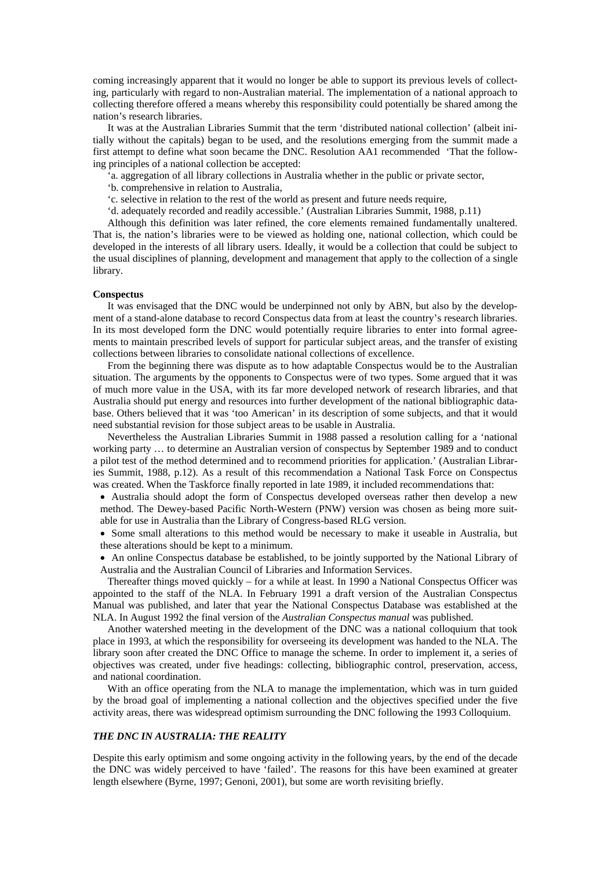coming increasingly apparent that it would no longer be able to support its previous levels of collecting, particularly with regard to non-Australian material. The implementation of a national approach to collecting therefore offered a means whereby this responsibility could potentially be shared among the nation's research libraries.

It was at the Australian Libraries Summit that the term 'distributed national collection' (albeit initially without the capitals) began to be used, and the resolutions emerging from the summit made a first attempt to define what soon became the DNC. Resolution AA1 recommended 'That the following principles of a national collection be accepted:

- 'a. aggregation of all library collections in Australia whether in the public or private sector,
- 'b. comprehensive in relation to Australia,
- 'c. selective in relation to the rest of the world as present and future needs require,
- 'd. adequately recorded and readily accessible.' (Australian Libraries Summit, 1988, p.11)

Although this definition was later refined, the core elements remained fundamentally unaltered. That is, the nation's libraries were to be viewed as holding one, national collection, which could be developed in the interests of all library users. Ideally, it would be a collection that could be subject to the usual disciplines of planning, development and management that apply to the collection of a single library.

#### **Conspectus**

It was envisaged that the DNC would be underpinned not only by ABN, but also by the development of a stand-alone database to record Conspectus data from at least the country's research libraries. In its most developed form the DNC would potentially require libraries to enter into formal agreements to maintain prescribed levels of support for particular subject areas, and the transfer of existing collections between libraries to consolidate national collections of excellence.

From the beginning there was dispute as to how adaptable Conspectus would be to the Australian situation. The arguments by the opponents to Conspectus were of two types. Some argued that it was of much more value in the USA, with its far more developed network of research libraries, and that Australia should put energy and resources into further development of the national bibliographic database. Others believed that it was 'too American' in its description of some subjects, and that it would need substantial revision for those subject areas to be usable in Australia.

Nevertheless the Australian Libraries Summit in 1988 passed a resolution calling for a 'national working party … to determine an Australian version of conspectus by September 1989 and to conduct a pilot test of the method determined and to recommend priorities for application.' (Australian Libraries Summit, 1988, p.12). As a result of this recommendation a National Task Force on Conspectus was created. When the Taskforce finally reported in late 1989, it included recommendations that:

• Australia should adopt the form of Conspectus developed overseas rather then develop a new method. The Dewey-based Pacific North-Western (PNW) version was chosen as being more suitable for use in Australia than the Library of Congress-based RLG version.

• Some small alterations to this method would be necessary to make it useable in Australia, but these alterations should be kept to a minimum.

• An online Conspectus database be established, to be jointly supported by the National Library of Australia and the Australian Council of Libraries and Information Services.

Thereafter things moved quickly – for a while at least. In 1990 a National Conspectus Officer was appointed to the staff of the NLA. In February 1991 a draft version of the Australian Conspectus Manual was published, and later that year the National Conspectus Database was established at the NLA. In August 1992 the final version of the *Australian Conspectus manual* was published.

Another watershed meeting in the development of the DNC was a national colloquium that took place in 1993, at which the responsibility for overseeing its development was handed to the NLA. The library soon after created the DNC Office to manage the scheme. In order to implement it, a series of objectives was created, under five headings: collecting, bibliographic control, preservation, access, and national coordination.

With an office operating from the NLA to manage the implementation, which was in turn guided by the broad goal of implementing a national collection and the objectives specified under the five activity areas, there was widespread optimism surrounding the DNC following the 1993 Colloquium.

#### *THE DNC IN AUSTRALIA: THE REALITY*

Despite this early optimism and some ongoing activity in the following years, by the end of the decade the DNC was widely perceived to have 'failed'. The reasons for this have been examined at greater length elsewhere (Byrne, 1997; Genoni, 2001), but some are worth revisiting briefly.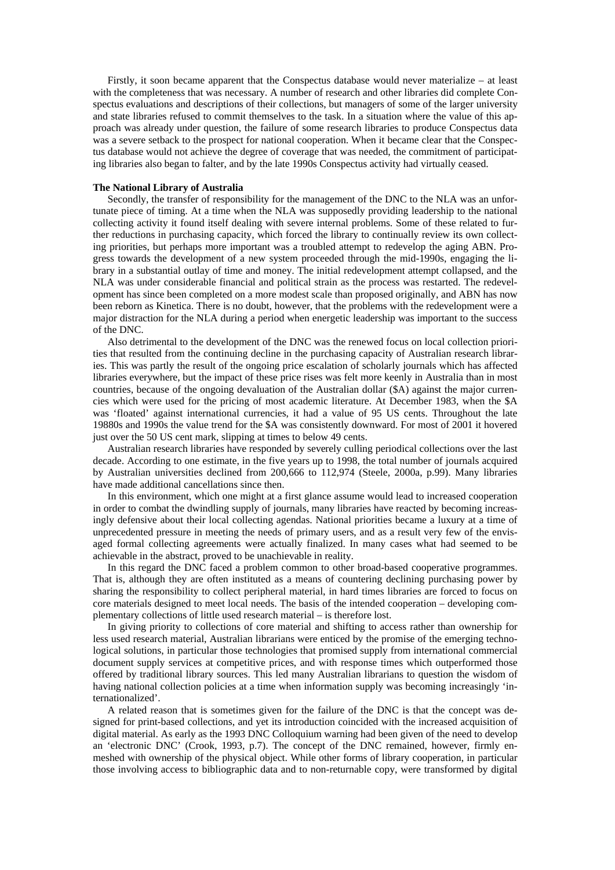Firstly, it soon became apparent that the Conspectus database would never materialize – at least with the completeness that was necessary. A number of research and other libraries did complete Conspectus evaluations and descriptions of their collections, but managers of some of the larger university and state libraries refused to commit themselves to the task. In a situation where the value of this approach was already under question, the failure of some research libraries to produce Conspectus data was a severe setback to the prospect for national cooperation. When it became clear that the Conspectus database would not achieve the degree of coverage that was needed, the commitment of participating libraries also began to falter, and by the late 1990s Conspectus activity had virtually ceased.

#### **The National Library of Australia**

Secondly, the transfer of responsibility for the management of the DNC to the NLA was an unfortunate piece of timing. At a time when the NLA was supposedly providing leadership to the national collecting activity it found itself dealing with severe internal problems. Some of these related to further reductions in purchasing capacity, which forced the library to continually review its own collecting priorities, but perhaps more important was a troubled attempt to redevelop the aging ABN. Progress towards the development of a new system proceeded through the mid-1990s, engaging the library in a substantial outlay of time and money. The initial redevelopment attempt collapsed, and the NLA was under considerable financial and political strain as the process was restarted. The redevelopment has since been completed on a more modest scale than proposed originally, and ABN has now been reborn as Kinetica. There is no doubt, however, that the problems with the redevelopment were a major distraction for the NLA during a period when energetic leadership was important to the success of the DNC.

Also detrimental to the development of the DNC was the renewed focus on local collection priorities that resulted from the continuing decline in the purchasing capacity of Australian research libraries. This was partly the result of the ongoing price escalation of scholarly journals which has affected libraries everywhere, but the impact of these price rises was felt more keenly in Australia than in most countries, because of the ongoing devaluation of the Australian dollar (\$A) against the major currencies which were used for the pricing of most academic literature. At December 1983, when the \$A was 'floated' against international currencies, it had a value of 95 US cents. Throughout the late 19880s and 1990s the value trend for the \$A was consistently downward. For most of 2001 it hovered just over the 50 US cent mark, slipping at times to below 49 cents.

Australian research libraries have responded by severely culling periodical collections over the last decade. According to one estimate, in the five years up to 1998, the total number of journals acquired by Australian universities declined from 200,666 to 112,974 (Steele, 2000a, p.99). Many libraries have made additional cancellations since then.

In this environment, which one might at a first glance assume would lead to increased cooperation in order to combat the dwindling supply of journals, many libraries have reacted by becoming increasingly defensive about their local collecting agendas. National priorities became a luxury at a time of unprecedented pressure in meeting the needs of primary users, and as a result very few of the envisaged formal collecting agreements were actually finalized. In many cases what had seemed to be achievable in the abstract, proved to be unachievable in reality.

In this regard the DNC faced a problem common to other broad-based cooperative programmes. That is, although they are often instituted as a means of countering declining purchasing power by sharing the responsibility to collect peripheral material, in hard times libraries are forced to focus on core materials designed to meet local needs. The basis of the intended cooperation – developing complementary collections of little used research material – is therefore lost.

In giving priority to collections of core material and shifting to access rather than ownership for less used research material, Australian librarians were enticed by the promise of the emerging technological solutions, in particular those technologies that promised supply from international commercial document supply services at competitive prices, and with response times which outperformed those offered by traditional library sources. This led many Australian librarians to question the wisdom of having national collection policies at a time when information supply was becoming increasingly 'internationalized'.

A related reason that is sometimes given for the failure of the DNC is that the concept was designed for print-based collections, and yet its introduction coincided with the increased acquisition of digital material. As early as the 1993 DNC Colloquium warning had been given of the need to develop an 'electronic DNC' (Crook, 1993, p.7). The concept of the DNC remained, however, firmly enmeshed with ownership of the physical object. While other forms of library cooperation, in particular those involving access to bibliographic data and to non-returnable copy, were transformed by digital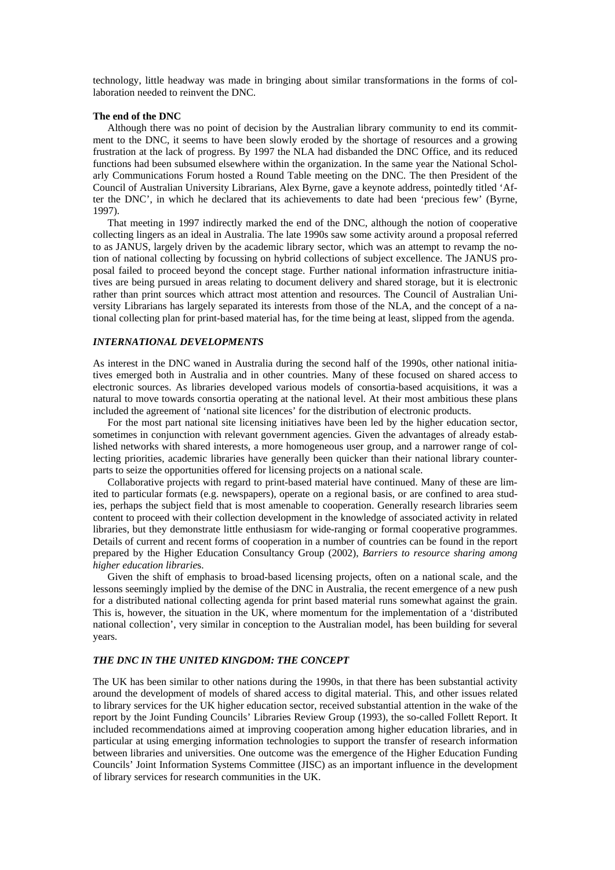technology, little headway was made in bringing about similar transformations in the forms of collaboration needed to reinvent the DNC.

#### **The end of the DNC**

Although there was no point of decision by the Australian library community to end its commitment to the DNC, it seems to have been slowly eroded by the shortage of resources and a growing frustration at the lack of progress. By 1997 the NLA had disbanded the DNC Office, and its reduced functions had been subsumed elsewhere within the organization. In the same year the National Scholarly Communications Forum hosted a Round Table meeting on the DNC. The then President of the Council of Australian University Librarians, Alex Byrne, gave a keynote address, pointedly titled 'After the DNC', in which he declared that its achievements to date had been 'precious few' (Byrne, 1997).

That meeting in 1997 indirectly marked the end of the DNC, although the notion of cooperative collecting lingers as an ideal in Australia. The late 1990s saw some activity around a proposal referred to as JANUS, largely driven by the academic library sector, which was an attempt to revamp the notion of national collecting by focussing on hybrid collections of subject excellence. The JANUS proposal failed to proceed beyond the concept stage. Further national information infrastructure initiatives are being pursued in areas relating to document delivery and shared storage, but it is electronic rather than print sources which attract most attention and resources. The Council of Australian University Librarians has largely separated its interests from those of the NLA, and the concept of a national collecting plan for print-based material has, for the time being at least, slipped from the agenda.

# *INTERNATIONAL DEVELOPMENTS*

As interest in the DNC waned in Australia during the second half of the 1990s, other national initiatives emerged both in Australia and in other countries. Many of these focused on shared access to electronic sources. As libraries developed various models of consortia-based acquisitions, it was a natural to move towards consortia operating at the national level. At their most ambitious these plans included the agreement of 'national site licences' for the distribution of electronic products.

For the most part national site licensing initiatives have been led by the higher education sector, sometimes in conjunction with relevant government agencies. Given the advantages of already established networks with shared interests, a more homogeneous user group, and a narrower range of collecting priorities, academic libraries have generally been quicker than their national library counterparts to seize the opportunities offered for licensing projects on a national scale.

Collaborative projects with regard to print-based material have continued. Many of these are limited to particular formats (e.g. newspapers), operate on a regional basis, or are confined to area studies, perhaps the subject field that is most amenable to cooperation. Generally research libraries seem content to proceed with their collection development in the knowledge of associated activity in related libraries, but they demonstrate little enthusiasm for wide-ranging or formal cooperative programmes. Details of current and recent forms of cooperation in a number of countries can be found in the report prepared by the Higher Education Consultancy Group (2002), *Barriers to resource sharing among higher education librarie*s.

Given the shift of emphasis to broad-based licensing projects, often on a national scale, and the lessons seemingly implied by the demise of the DNC in Australia, the recent emergence of a new push for a distributed national collecting agenda for print based material runs somewhat against the grain. This is, however, the situation in the UK, where momentum for the implementation of a 'distributed national collection', very similar in conception to the Australian model, has been building for several years.

# *THE DNC IN THE UNITED KINGDOM: THE CONCEPT*

The UK has been similar to other nations during the 1990s, in that there has been substantial activity around the development of models of shared access to digital material. This, and other issues related to library services for the UK higher education sector, received substantial attention in the wake of the report by the Joint Funding Councils' Libraries Review Group (1993), the so-called Follett Report. It included recommendations aimed at improving cooperation among higher education libraries, and in particular at using emerging information technologies to support the transfer of research information between libraries and universities. One outcome was the emergence of the Higher Education Funding Councils' Joint Information Systems Committee (JISC) as an important influence in the development of library services for research communities in the UK.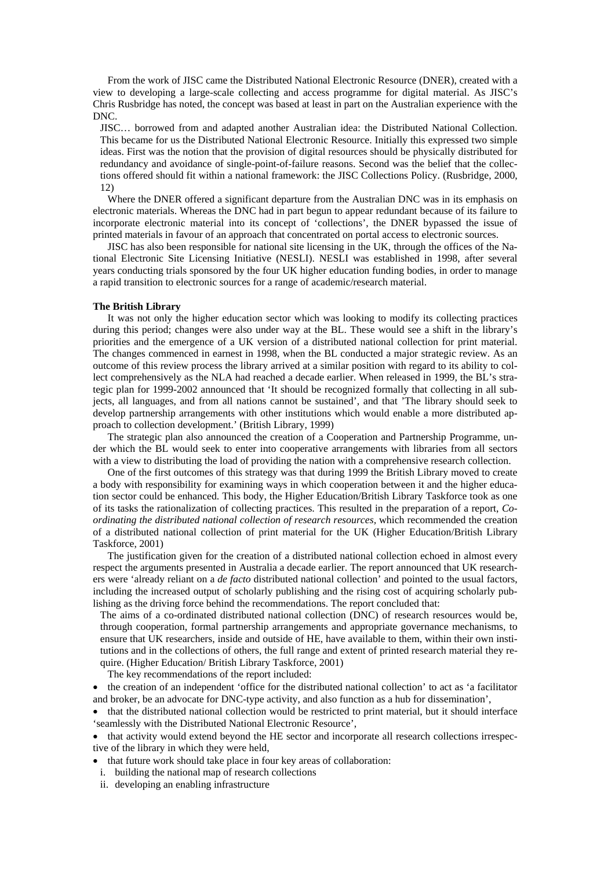From the work of JISC came the Distributed National Electronic Resource (DNER), created with a view to developing a large-scale collecting and access programme for digital material. As JISC's Chris Rusbridge has noted, the concept was based at least in part on the Australian experience with the DNC.

JISC… borrowed from and adapted another Australian idea: the Distributed National Collection. This became for us the Distributed National Electronic Resource. Initially this expressed two simple ideas. First was the notion that the provision of digital resources should be physically distributed for redundancy and avoidance of single-point-of-failure reasons. Second was the belief that the collections offered should fit within a national framework: the JISC Collections Policy. (Rusbridge, 2000,  $12)$ 

Where the DNER offered a significant departure from the Australian DNC was in its emphasis on electronic materials. Whereas the DNC had in part begun to appear redundant because of its failure to incorporate electronic material into its concept of 'collections', the DNER bypassed the issue of printed materials in favour of an approach that concentrated on portal access to electronic sources.

JISC has also been responsible for national site licensing in the UK, through the offices of the National Electronic Site Licensing Initiative (NESLI). NESLI was established in 1998, after several years conducting trials sponsored by the four UK higher education funding bodies, in order to manage a rapid transition to electronic sources for a range of academic/research material.

#### **The British Library**

It was not only the higher education sector which was looking to modify its collecting practices during this period; changes were also under way at the BL. These would see a shift in the library's priorities and the emergence of a UK version of a distributed national collection for print material. The changes commenced in earnest in 1998, when the BL conducted a major strategic review. As an outcome of this review process the library arrived at a similar position with regard to its ability to collect comprehensively as the NLA had reached a decade earlier. When released in 1999, the BL's strategic plan for 1999-2002 announced that 'It should be recognized formally that collecting in all subjects, all languages, and from all nations cannot be sustained', and that 'The library should seek to develop partnership arrangements with other institutions which would enable a more distributed approach to collection development.' (British Library, 1999)

The strategic plan also announced the creation of a Cooperation and Partnership Programme, under which the BL would seek to enter into cooperative arrangements with libraries from all sectors with a view to distributing the load of providing the nation with a comprehensive research collection.

One of the first outcomes of this strategy was that during 1999 the British Library moved to create a body with responsibility for examining ways in which cooperation between it and the higher education sector could be enhanced. This body, the Higher Education/British Library Taskforce took as one of its tasks the rationalization of collecting practices. This resulted in the preparation of a report, *Coordinating the distributed national collection of research resources,* which recommended the creation of a distributed national collection of print material for the UK (Higher Education/British Library Taskforce, 2001)

The justification given for the creation of a distributed national collection echoed in almost every respect the arguments presented in Australia a decade earlier. The report announced that UK researchers were 'already reliant on a *de facto* distributed national collection' and pointed to the usual factors, including the increased output of scholarly publishing and the rising cost of acquiring scholarly publishing as the driving force behind the recommendations. The report concluded that:

The aims of a co-ordinated distributed national collection (DNC) of research resources would be, through cooperation, formal partnership arrangements and appropriate governance mechanisms, to ensure that UK researchers, inside and outside of HE, have available to them, within their own institutions and in the collections of others, the full range and extent of printed research material they require. (Higher Education/ British Library Taskforce, 2001)

The key recommendations of the report included:

• the creation of an independent 'office for the distributed national collection' to act as 'a facilitator and broker, be an advocate for DNC-type activity, and also function as a hub for dissemination',

• that the distributed national collection would be restricted to print material, but it should interface 'seamlessly with the Distributed National Electronic Resource',

• that activity would extend beyond the HE sector and incorporate all research collections irrespective of the library in which they were held,

- that future work should take place in four key areas of collaboration:
- i. building the national map of research collections
- ii. developing an enabling infrastructure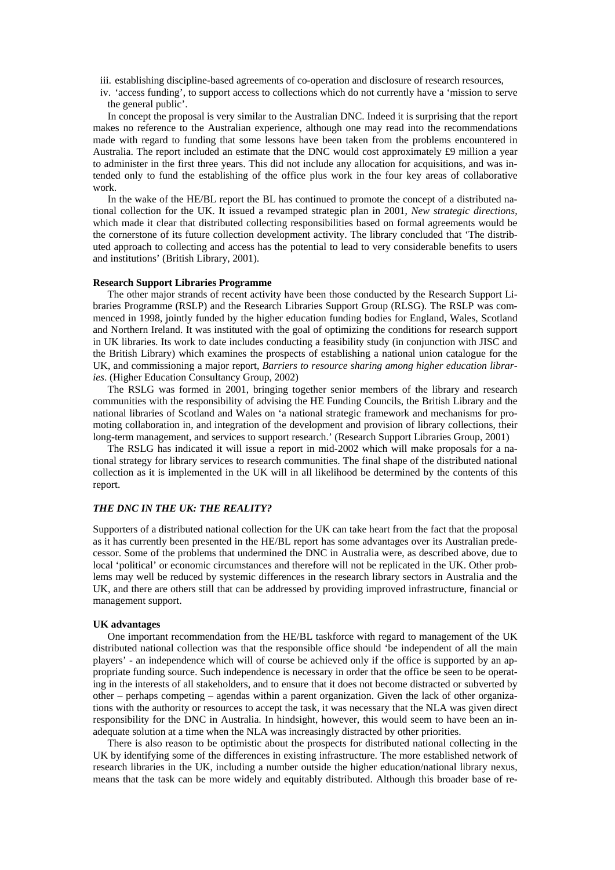iii. establishing discipline-based agreements of co-operation and disclosure of research resources,

iv. 'access funding', to support access to collections which do not currently have a 'mission to serve the general public'.

In concept the proposal is very similar to the Australian DNC. Indeed it is surprising that the report makes no reference to the Australian experience, although one may read into the recommendations made with regard to funding that some lessons have been taken from the problems encountered in Australia. The report included an estimate that the DNC would cost approximately £9 million a year to administer in the first three years. This did not include any allocation for acquisitions, and was intended only to fund the establishing of the office plus work in the four key areas of collaborative work.

In the wake of the HE/BL report the BL has continued to promote the concept of a distributed national collection for the UK. It issued a revamped strategic plan in 2001, *New strategic directions*, which made it clear that distributed collecting responsibilities based on formal agreements would be the cornerstone of its future collection development activity. The library concluded that 'The distributed approach to collecting and access has the potential to lead to very considerable benefits to users and institutions' (British Library, 2001).

#### **Research Support Libraries Programme**

The other major strands of recent activity have been those conducted by the Research Support Libraries Programme (RSLP) and the Research Libraries Support Group (RLSG). The RSLP was commenced in 1998, jointly funded by the higher education funding bodies for England, Wales, Scotland and Northern Ireland. It was instituted with the goal of optimizing the conditions for research support in UK libraries. Its work to date includes conducting a feasibility study (in conjunction with JISC and the British Library) which examines the prospects of establishing a national union catalogue for the UK, and commissioning a major report, *Barriers to resource sharing among higher education libraries*. (Higher Education Consultancy Group, 2002)

The RSLG was formed in 2001, bringing together senior members of the library and research communities with the responsibility of advising the HE Funding Councils, the British Library and the national libraries of Scotland and Wales on 'a national strategic framework and mechanisms for promoting collaboration in, and integration of the development and provision of library collections, their long-term management, and services to support research.' (Research Support Libraries Group, 2001)

The RSLG has indicated it will issue a report in mid-2002 which will make proposals for a national strategy for library services to research communities. The final shape of the distributed national collection as it is implemented in the UK will in all likelihood be determined by the contents of this report.

# *THE DNC IN THE UK: THE REALITY?*

Supporters of a distributed national collection for the UK can take heart from the fact that the proposal as it has currently been presented in the HE/BL report has some advantages over its Australian predecessor. Some of the problems that undermined the DNC in Australia were, as described above, due to local 'political' or economic circumstances and therefore will not be replicated in the UK. Other problems may well be reduced by systemic differences in the research library sectors in Australia and the UK, and there are others still that can be addressed by providing improved infrastructure, financial or management support.

#### **UK advantages**

One important recommendation from the HE/BL taskforce with regard to management of the UK distributed national collection was that the responsible office should 'be independent of all the main players' - an independence which will of course be achieved only if the office is supported by an appropriate funding source. Such independence is necessary in order that the office be seen to be operating in the interests of all stakeholders, and to ensure that it does not become distracted or subverted by other – perhaps competing – agendas within a parent organization. Given the lack of other organizations with the authority or resources to accept the task, it was necessary that the NLA was given direct responsibility for the DNC in Australia. In hindsight, however, this would seem to have been an inadequate solution at a time when the NLA was increasingly distracted by other priorities.

There is also reason to be optimistic about the prospects for distributed national collecting in the UK by identifying some of the differences in existing infrastructure. The more established network of research libraries in the UK, including a number outside the higher education/national library nexus, means that the task can be more widely and equitably distributed. Although this broader base of re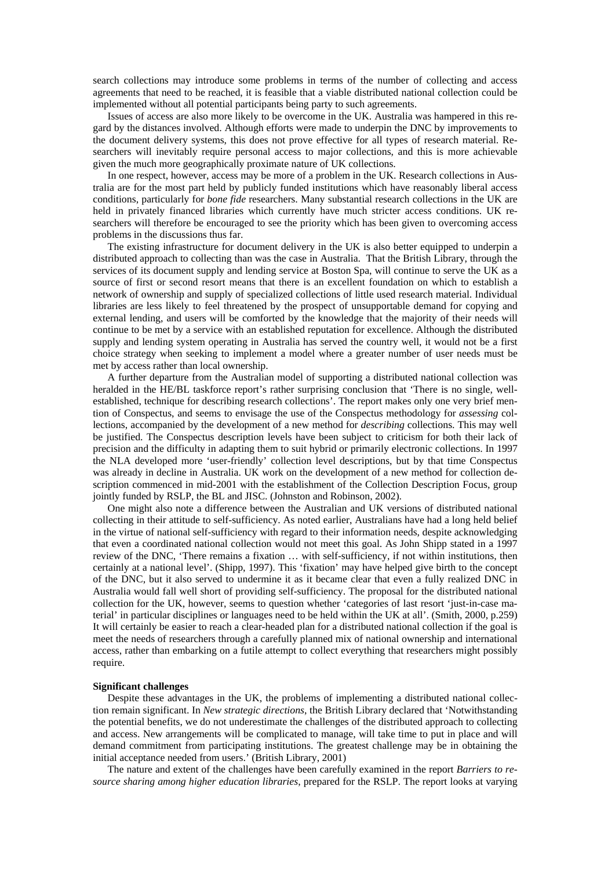search collections may introduce some problems in terms of the number of collecting and access agreements that need to be reached, it is feasible that a viable distributed national collection could be implemented without all potential participants being party to such agreements.

Issues of access are also more likely to be overcome in the UK. Australia was hampered in this regard by the distances involved. Although efforts were made to underpin the DNC by improvements to the document delivery systems, this does not prove effective for all types of research material. Researchers will inevitably require personal access to major collections, and this is more achievable given the much more geographically proximate nature of UK collections.

In one respect, however, access may be more of a problem in the UK. Research collections in Australia are for the most part held by publicly funded institutions which have reasonably liberal access conditions, particularly for *bone fide* researchers. Many substantial research collections in the UK are held in privately financed libraries which currently have much stricter access conditions. UK researchers will therefore be encouraged to see the priority which has been given to overcoming access problems in the discussions thus far.

The existing infrastructure for document delivery in the UK is also better equipped to underpin a distributed approach to collecting than was the case in Australia. That the British Library, through the services of its document supply and lending service at Boston Spa, will continue to serve the UK as a source of first or second resort means that there is an excellent foundation on which to establish a network of ownership and supply of specialized collections of little used research material. Individual libraries are less likely to feel threatened by the prospect of unsupportable demand for copying and external lending, and users will be comforted by the knowledge that the majority of their needs will continue to be met by a service with an established reputation for excellence. Although the distributed supply and lending system operating in Australia has served the country well, it would not be a first choice strategy when seeking to implement a model where a greater number of user needs must be met by access rather than local ownership.

A further departure from the Australian model of supporting a distributed national collection was heralded in the HE/BL taskforce report's rather surprising conclusion that 'There is no single, wellestablished, technique for describing research collections'. The report makes only one very brief mention of Conspectus, and seems to envisage the use of the Conspectus methodology for *assessing* collections, accompanied by the development of a new method for *describing* collections. This may well be justified. The Conspectus description levels have been subject to criticism for both their lack of precision and the difficulty in adapting them to suit hybrid or primarily electronic collections. In 1997 the NLA developed more 'user-friendly' collection level descriptions, but by that time Conspectus was already in decline in Australia. UK work on the development of a new method for collection description commenced in mid-2001 with the establishment of the Collection Description Focus, group jointly funded by RSLP, the BL and JISC. (Johnston and Robinson, 2002).

One might also note a difference between the Australian and UK versions of distributed national collecting in their attitude to self-sufficiency. As noted earlier, Australians have had a long held belief in the virtue of national self-sufficiency with regard to their information needs, despite acknowledging that even a coordinated national collection would not meet this goal. As John Shipp stated in a 1997 review of the DNC, 'There remains a fixation … with self-sufficiency, if not within institutions, then certainly at a national level'. (Shipp, 1997). This 'fixation' may have helped give birth to the concept of the DNC, but it also served to undermine it as it became clear that even a fully realized DNC in Australia would fall well short of providing self-sufficiency. The proposal for the distributed national collection for the UK, however, seems to question whether 'categories of last resort 'just-in-case material' in particular disciplines or languages need to be held within the UK at all'. (Smith, 2000, p.259) It will certainly be easier to reach a clear-headed plan for a distributed national collection if the goal is meet the needs of researchers through a carefully planned mix of national ownership and international access, rather than embarking on a futile attempt to collect everything that researchers might possibly require.

#### **Significant challenges**

Despite these advantages in the UK, the problems of implementing a distributed national collection remain significant. In *New strategic directions*, the British Library declared that 'Notwithstanding the potential benefits, we do not underestimate the challenges of the distributed approach to collecting and access. New arrangements will be complicated to manage, will take time to put in place and will demand commitment from participating institutions. The greatest challenge may be in obtaining the initial acceptance needed from users.' (British Library, 2001)

The nature and extent of the challenges have been carefully examined in the report *Barriers to resource sharing among higher education libraries*, prepared for the RSLP. The report looks at varying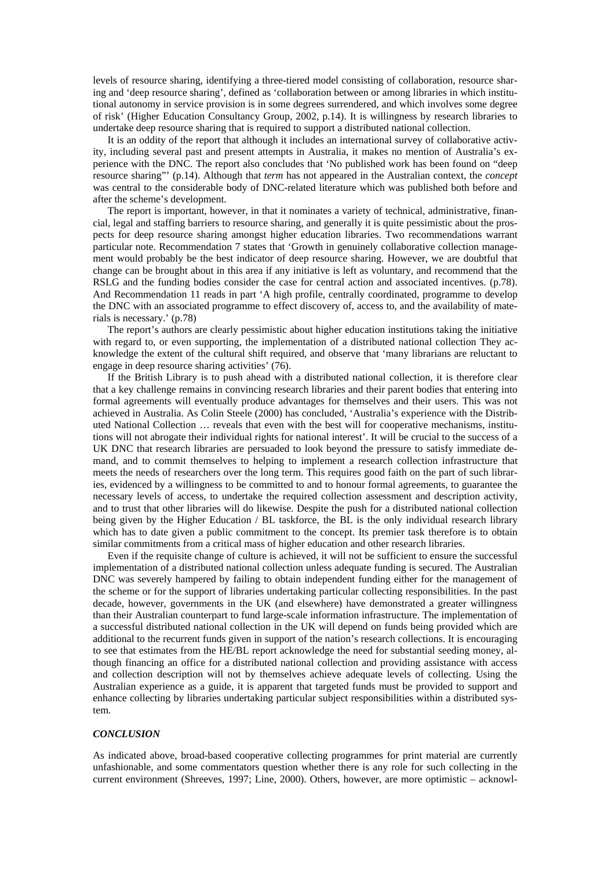levels of resource sharing, identifying a three-tiered model consisting of collaboration, resource sharing and 'deep resource sharing', defined as 'collaboration between or among libraries in which institutional autonomy in service provision is in some degrees surrendered, and which involves some degree of risk' (Higher Education Consultancy Group, 2002, p.14). It is willingness by research libraries to undertake deep resource sharing that is required to support a distributed national collection.

It is an oddity of the report that although it includes an international survey of collaborative activity, including several past and present attempts in Australia, it makes no mention of Australia's experience with the DNC. The report also concludes that 'No published work has been found on "deep resource sharing"' (p.14). Although that *term* has not appeared in the Australian context, the *concept* was central to the considerable body of DNC-related literature which was published both before and after the scheme's development.

The report is important, however, in that it nominates a variety of technical, administrative, financial, legal and staffing barriers to resource sharing, and generally it is quite pessimistic about the prospects for deep resource sharing amongst higher education libraries. Two recommendations warrant particular note. Recommendation 7 states that 'Growth in genuinely collaborative collection management would probably be the best indicator of deep resource sharing. However, we are doubtful that change can be brought about in this area if any initiative is left as voluntary, and recommend that the RSLG and the funding bodies consider the case for central action and associated incentives. (p.78). And Recommendation 11 reads in part 'A high profile, centrally coordinated, programme to develop the DNC with an associated programme to effect discovery of, access to, and the availability of materials is necessary.' (p.78)

The report's authors are clearly pessimistic about higher education institutions taking the initiative with regard to, or even supporting, the implementation of a distributed national collection They acknowledge the extent of the cultural shift required, and observe that 'many librarians are reluctant to engage in deep resource sharing activities' (76).

If the British Library is to push ahead with a distributed national collection, it is therefore clear that a key challenge remains in convincing research libraries and their parent bodies that entering into formal agreements will eventually produce advantages for themselves and their users. This was not achieved in Australia. As Colin Steele (2000) has concluded, 'Australia's experience with the Distributed National Collection … reveals that even with the best will for cooperative mechanisms, institutions will not abrogate their individual rights for national interest'. It will be crucial to the success of a UK DNC that research libraries are persuaded to look beyond the pressure to satisfy immediate demand, and to commit themselves to helping to implement a research collection infrastructure that meets the needs of researchers over the long term. This requires good faith on the part of such libraries, evidenced by a willingness to be committed to and to honour formal agreements, to guarantee the necessary levels of access, to undertake the required collection assessment and description activity, and to trust that other libraries will do likewise. Despite the push for a distributed national collection being given by the Higher Education / BL taskforce, the BL is the only individual research library which has to date given a public commitment to the concept. Its premier task therefore is to obtain similar commitments from a critical mass of higher education and other research libraries.

Even if the requisite change of culture is achieved, it will not be sufficient to ensure the successful implementation of a distributed national collection unless adequate funding is secured. The Australian DNC was severely hampered by failing to obtain independent funding either for the management of the scheme or for the support of libraries undertaking particular collecting responsibilities. In the past decade, however, governments in the UK (and elsewhere) have demonstrated a greater willingness than their Australian counterpart to fund large-scale information infrastructure. The implementation of a successful distributed national collection in the UK will depend on funds being provided which are additional to the recurrent funds given in support of the nation's research collections. It is encouraging to see that estimates from the HE/BL report acknowledge the need for substantial seeding money, although financing an office for a distributed national collection and providing assistance with access and collection description will not by themselves achieve adequate levels of collecting. Using the Australian experience as a guide, it is apparent that targeted funds must be provided to support and enhance collecting by libraries undertaking particular subject responsibilities within a distributed system.

# *CONCLUSION*

As indicated above, broad-based cooperative collecting programmes for print material are currently unfashionable, and some commentators question whether there is any role for such collecting in the current environment (Shreeves, 1997; Line, 2000). Others, however, are more optimistic – acknowl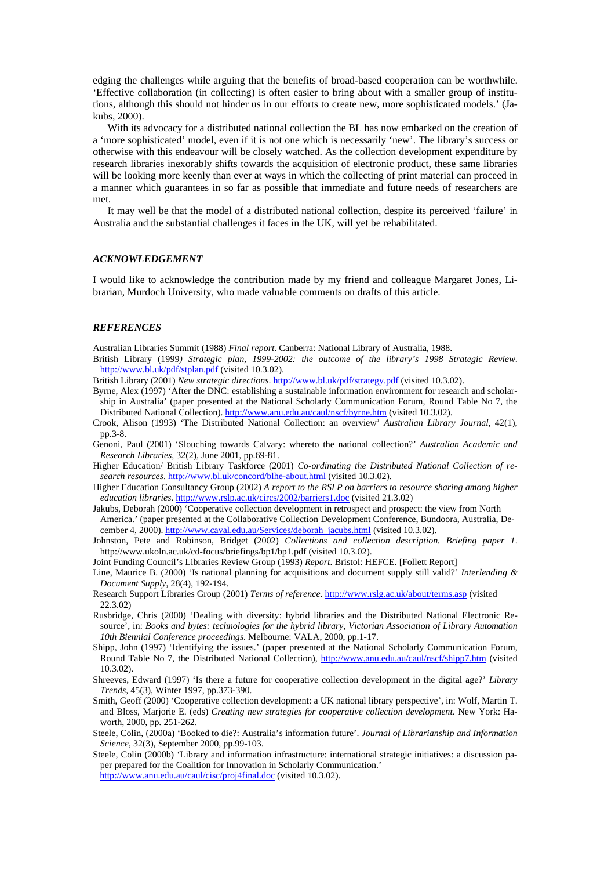edging the challenges while arguing that the benefits of broad-based cooperation can be worthwhile. 'Effective collaboration (in collecting) is often easier to bring about with a smaller group of institutions, although this should not hinder us in our efforts to create new, more sophisticated models.' (Jakubs, 2000).

With its advocacy for a distributed national collection the BL has now embarked on the creation of a 'more sophisticated' model, even if it is not one which is necessarily 'new'. The library's success or otherwise with this endeavour will be closely watched. As the collection development expenditure by research libraries inexorably shifts towards the acquisition of electronic product, these same libraries will be looking more keenly than ever at ways in which the collecting of print material can proceed in a manner which guarantees in so far as possible that immediate and future needs of researchers are met.

It may well be that the model of a distributed national collection, despite its perceived 'failure' in Australia and the substantial challenges it faces in the UK, will yet be rehabilitated.

# *ACKNOWLEDGEMENT*

I would like to acknowledge the contribution made by my friend and colleague Margaret Jones, Librarian, Murdoch University, who made valuable comments on drafts of this article.

### *REFERENCES*

Australian Libraries Summit (1988) *Final report*. Canberra: National Library of Australia, 1988.

British Library (1999*) Strategic plan, 1999-2002: the outcome of the library's 1998 Strategic Review*. <http://www.bl.uk/pdf/stplan.pdf> (visited 10.3.02).

British Library (2001) *New strategic directions*. <http://www.bl.uk/pdf/strategy.pdf>(visited 10.3.02).

- Byrne, Alex (1997) 'After the DNC: establishing a sustainable information environment for research and scholarship in Australia' (paper presented at the National Scholarly Communication Forum, Round Table No 7, the Distributed National Collection).<http://www.anu.edu.au/caul/nscf/byrne.htm> (visited 10.3.02).
- Crook, Alison (1993) 'The Distributed National Collection: an overview' *Australian Library Journal*, 42(1), pp.3-8.
- Genoni, Paul (2001) 'Slouching towards Calvary: whereto the national collection?' *Australian Academic and Research Libraries*, 32(2), June 2001, pp.69-81.
- Higher Education/ British Library Taskforce (2001) *Co-ordinating the Distributed National Collection of research resources*. <http://www.bl.uk/concord/blhe-about.html>(visited 10.3.02).
- Higher Education Consultancy Group (2002) *A report to the RSLP on barriers to resource sharing among higher education libraries*.<http://www.rslp.ac.uk/circs/2002/barriers1.doc> (visited 21.3.02)
- Jakubs, Deborah (2000) 'Cooperative collection development in retrospect and prospect: the view from North America.' (paper presented at the Collaborative Collection Development Conference, Bundoora, Australia, December 4, 2000). [http://www.caval.edu.au/Services/deborah\\_jacubs.html](http://www.caval.edu.au/services/deborah_jacubs.html) (visited 10.3.02).
- Johnston, Pete and Robinson, Bridget (2002) *Collections and collection description. Briefing paper 1*. http://www.ukoln.ac.uk/cd-focus/briefings/bp1/bp1.pdf (visited 10.3.02).
- Joint Funding Council's Libraries Review Group (1993) *Report*. Bristol: HEFCE. [Follett Report]
- Line, Maurice B. (2000) 'Is national planning for acquisitions and document supply still valid?' *Interlending & Document Supply*, 28(4), 192-194.

Research Support Libraries Group (2001) *Terms of reference*. <http://www.rslg.ac.uk/about/terms.asp> (visited 22.3.02)

- Rusbridge, Chris (2000) 'Dealing with diversity: hybrid libraries and the Distributed National Electronic Resource', in: *Books and bytes: technologies for the hybrid library, Victorian Association of Library Automation 10th Biennial Conference proceedings*. Melbourne: VALA, 2000, pp.1-17.
- Shipp, John (1997) 'Identifying the issues.' (paper presented at the National Scholarly Communication Forum, Round Table No 7, the Distributed National Collection), <http://www.anu.edu.au/caul/nscf/shipp7.htm>(visited 10.3.02).
- Shreeves, Edward (1997) 'Is there a future for cooperative collection development in the digital age?' *Library Trends*, 45(3), Winter 1997, pp.373-390.
- Smith, Geoff (2000) 'Cooperative collection development: a UK national library perspective', in: Wolf, Martin T. and Bloss, Marjorie E. (eds) *Creating new strategies for cooperative collection development*. New York: Haworth, 2000, pp. 251-262.
- Steele, Colin, (2000a) 'Booked to die?: Australia's information future'. *Journal of Librarianship and Information Science*, 32(3), September 2000, pp.99-103.
- Steele, Colin (2000b) 'Library and information infrastructure: international strategic initiatives: a discussion paper prepared for the Coalition for Innovation in Scholarly Communication.' <http://www.anu.edu.au/caul/cisc/proj4final.doc> (visited 10.3.02).